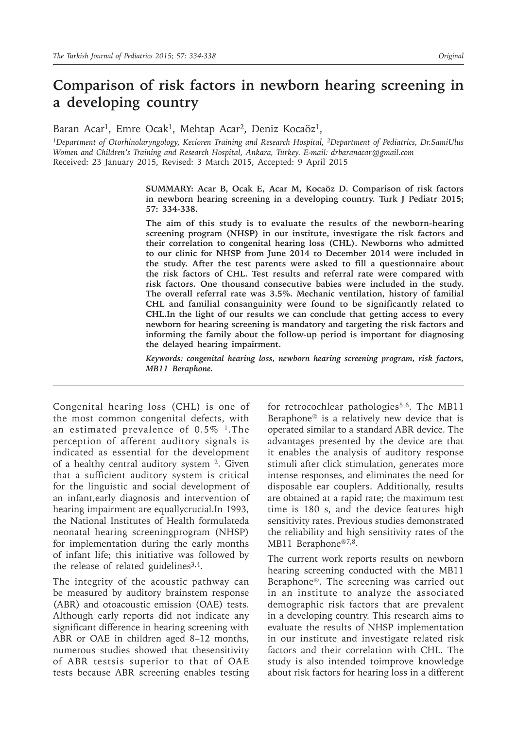# **Comparison of risk factors in newborn hearing screening in a developing country**

Baran Acar<sup>1</sup>, Emre Ocak<sup>1</sup>, Mehtap Acar<sup>2</sup>, Deniz Kocaöz<sup>1</sup>,

*<sup>1</sup>Department of Otorhinolaryngology, Kecioren Training and Research Hospital, 2Department of Pediatrics, Dr.SamiUlus Women and Children's Training and Research Hospital, Ankara, Turkey. E-mail: drbaranacar@gmail.com* Received: 23 January 2015, Revised: 3 March 2015, Accepted: 9 April 2015

> **SUMMARY: Acar B, Ocak E, Acar M, Kocaöz D. Comparison of risk factors in newborn hearing screening in a developing country. Turk J Pediatr 2015; 57: 334-338.**

> **The aim of this study is to evaluate the results of the newborn-hearing screening program (NHSP) in our institute, investigate the risk factors and their correlation to congenital hearing loss (CHL). Newborns who admitted to our clinic for NHSP from June 2014 to December 2014 were included in the study. After the test parents were asked to fill a questionnaire about the risk factors of CHL. Test results and referral rate were compared with risk factors. One thousand consecutive babies were included in the study. The overall referral rate was 3.5%. Mechanic ventilation, history of familial CHL and familial consanguinity were found to be significantly related to CHL.In the light of our results we can conclude that getting access to every newborn for hearing screening is mandatory and targeting the risk factors and informing the family about the follow-up period is important for diagnosing the delayed hearing impairment.**

> *Keywords: congenital hearing loss, newborn hearing screening program, risk factors, MB11 Beraphone.*

Congenital hearing loss (CHL) is one of the most common congenital defects, with an estimated prevalence of 0.5% <sup>1</sup>. The perception of afferent auditory signals is indicated as essential for the development of a healthy central auditory system <sup>2</sup>. Given that a sufficient auditory system is critical for the linguistic and social development of an infant,early diagnosis and intervention of hearing impairment are equallycrucial.In 1993, the National Institutes of Health formulateda neonatal hearing screeningprogram (NHSP) for implementation during the early months of infant life; this initiative was followed by the release of related guidelines $3,4$ .

The integrity of the acoustic pathway can be measured by auditory brainstem response (ABR) and otoacoustic emission (OAE) tests. Although early reports did not indicate any significant difference in hearing screening with ABR or OAE in children aged 8–12 months, numerous studies showed that thesensitivity of ABR testsis superior to that of OAE tests because ABR screening enables testing

for retrocochlear pathologies<sup>5,6</sup>. The MB11 Beraphone® is a relatively new device that is operated similar to a standard ABR device. The advantages presented by the device are that it enables the analysis of auditory response stimuli after click stimulation, generates more intense responses, and eliminates the need for disposable ear couplers. Additionally, results are obtained at a rapid rate; the maximum test time is 180 s, and the device features high sensitivity rates. Previous studies demonstrated the reliability and high sensitivity rates of the MB11 Beraphone®7,8.

The current work reports results on newborn hearing screening conducted with the MB11 Beraphone®. The screening was carried out in an institute to analyze the associated demographic risk factors that are prevalent in a developing country. This research aims to evaluate the results of NHSP implementation in our institute and investigate related risk factors and their correlation with CHL. The study is also intended toimprove knowledge about risk factors for hearing loss in a different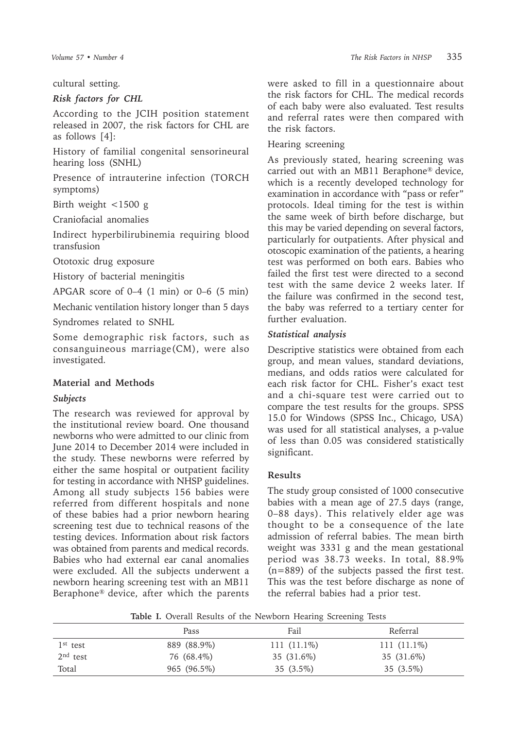cultural setting.

#### *Risk factors for CHL*

According to the JCIH position statement released in 2007, the risk factors for CHL are as follows [4]:

History of familial congenital sensorineural hearing loss (SNHL)

Presence of intrauterine infection (TORCH symptoms)

Birth weight <1500 g

Craniofacial anomalies

Indirect hyperbilirubinemia requiring blood transfusion

Ototoxic drug exposure

History of bacterial meningitis

APGAR score of 0–4 (1 min) or 0–6 (5 min)

Mechanic ventilation history longer than 5 days

Syndromes related to SNHL

Some demographic risk factors, such as consanguineous marriage(CM), were also investigated.

## **Material and Methods**

## *Subjects*

The research was reviewed for approval by the institutional review board. One thousand newborns who were admitted to our clinic from June 2014 to December 2014 were included in the study. These newborns were referred by either the same hospital or outpatient facility for testing in accordance with NHSP guidelines. Among all study subjects 156 babies were referred from different hospitals and none of these babies had a prior newborn hearing screening test due to technical reasons of the testing devices. Information about risk factors was obtained from parents and medical records. Babies who had external ear canal anomalies were excluded. All the subjects underwent a newborn hearing screening test with an MB11 Beraphone® device, after which the parents

were asked to fill in a questionnaire about the risk factors for CHL. The medical records of each baby were also evaluated. Test results and referral rates were then compared with the risk factors.

#### Hearing screening

As previously stated, hearing screening was carried out with an MB11 Beraphone® device, which is a recently developed technology for examination in accordance with "pass or refer" protocols. Ideal timing for the test is within the same week of birth before discharge, but this may be varied depending on several factors, particularly for outpatients. After physical and otoscopic examination of the patients, a hearing test was performed on both ears. Babies who failed the first test were directed to a second test with the same device 2 weeks later. If the failure was confirmed in the second test, the baby was referred to a tertiary center for further evaluation.

#### *Statistical analysis*

Descriptive statistics were obtained from each group, and mean values, standard deviations, medians, and odds ratios were calculated for each risk factor for CHL. Fisher's exact test and a chi-square test were carried out to compare the test results for the groups. SPSS 15.0 for Windows (SPSS Inc., Chicago, USA) was used for all statistical analyses, a p-value of less than 0.05 was considered statistically significant.

## **Results**

The study group consisted of 1000 consecutive babies with a mean age of 27.5 days (range, 0–88 days). This relatively elder age was thought to be a consequence of the late admission of referral babies. The mean birth weight was 3331 g and the mean gestational period was 38.73 weeks. In total, 88.9% (n=889) of the subjects passed the first test. This was the test before discharge as none of the referral babies had a prior test.

**Table I.** Overall Results of the Newborn Hearing Screening Tests

|            | Pass        | Fail          | Referral      |
|------------|-------------|---------------|---------------|
| $1st$ test | 889 (88.9%) | $111(11.1\%)$ | $111(11.1\%)$ |
| $2nd$ test | 76 (68.4%)  | 35 (31.6%)    | 35 (31.6%)    |
| Total      | 965 (96.5%) | $35(3.5\%)$   | $35(3.5\%)$   |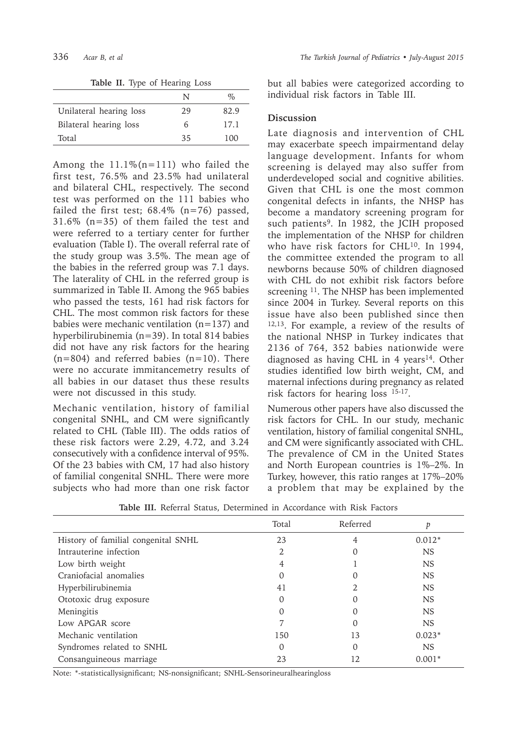**Table II.** Type of Hearing Loss

|                         | N  | %    |
|-------------------------|----|------|
| Unilateral hearing loss | 29 | 82.9 |
| Bilateral hearing loss  | 6  | 17.1 |
| Total                   | 35 | 100  |

Among the  $11.1\%$  (n=111) who failed the first test, 76.5% and 23.5% had unilateral and bilateral CHL, respectively. The second test was performed on the 111 babies who failed the first test;  $68.4\%$  (n=76) passed, 31.6% (n=35) of them failed the test and were referred to a tertiary center for further evaluation (Table I). The overall referral rate of the study group was 3.5%. The mean age of the babies in the referred group was 7.1 days. The laterality of CHL in the referred group is summarized in Table II. Among the 965 babies who passed the tests, 161 had risk factors for CHL. The most common risk factors for these babies were mechanic ventilation (n=137) and hyperbilirubinemia (n=39). In total 814 babies did not have any risk factors for the hearing  $(n=804)$  and referred babies  $(n=10)$ . There were no accurate immitancemetry results of all babies in our dataset thus these results were not discussed in this study.

Mechanic ventilation, history of familial congenital SNHL, and CM were significantly related to CHL (Table III). The odds ratios of these risk factors were 2.29, 4.72, and 3.24 consecutively with a confidence interval of 95%. Of the 23 babies with CM, 17 had also history of familial congenital SNHL. There were more subjects who had more than one risk factor

but all babies were categorized according to individual risk factors in Table III.

#### **Discussion**

Late diagnosis and intervention of CHL may exacerbate speech impairmentand delay language development. Infants for whom screening is delayed may also suffer from underdeveloped social and cognitive abilities. Given that CHL is one the most common congenital defects in infants, the NHSP has become a mandatory screening program for such patients<sup>9</sup>. In 1982, the JCIH proposed the implementation of the NHSP for children who have risk factors for CHL<sup>10</sup>. In 1994, the committee extended the program to all newborns because 50% of children diagnosed with CHL do not exhibit risk factors before screening <sup>11</sup>. The NHSP has been implemented since 2004 in Turkey. Several reports on this issue have also been published since then 12,13. For example, a review of the results of the national NHSP in Turkey indicates that 2136 of 764, 352 babies nationwide were diagnosed as having CHL in  $4$  years<sup>14</sup>. Other studies identified low birth weight, CM, and maternal infections during pregnancy as related risk factors for hearing loss 15-17.

Numerous other papers have also discussed the risk factors for CHL. In our study, mechanic ventilation, history of familial congenital SNHL, and CM were significantly associated with CHL. The prevalence of CM in the United States and North European countries is 1%–2%. In Turkey, however, this ratio ranges at 17%–20% a problem that may be explained by the

|                                     | Total | Referred | p         |
|-------------------------------------|-------|----------|-----------|
| History of familial congenital SNHL | 23    | 4        | $0.012*$  |
| Intrauterine infection              |       |          | <b>NS</b> |
| Low birth weight                    |       |          | <b>NS</b> |
| Craniofacial anomalies              |       | $\Omega$ | <b>NS</b> |
| Hyperbilirubinemia                  | 41    |          | <b>NS</b> |
| Ototoxic drug exposure              |       |          | <b>NS</b> |
| Meningitis                          |       |          | <b>NS</b> |
| Low APGAR score                     |       |          | <b>NS</b> |
| Mechanic ventilation                | 150   | 13       | $0.023*$  |
| Syndromes related to SNHL           | O     | $\Omega$ | <b>NS</b> |
| Consanguineous marriage             | 23    | 12       | $0.001*$  |

**Table III.** Referral Status, Determined in Accordance with Risk Factors

Note: \*-statisticallysignificant; NS-nonsignificant; SNHL-Sensorineuralhearingloss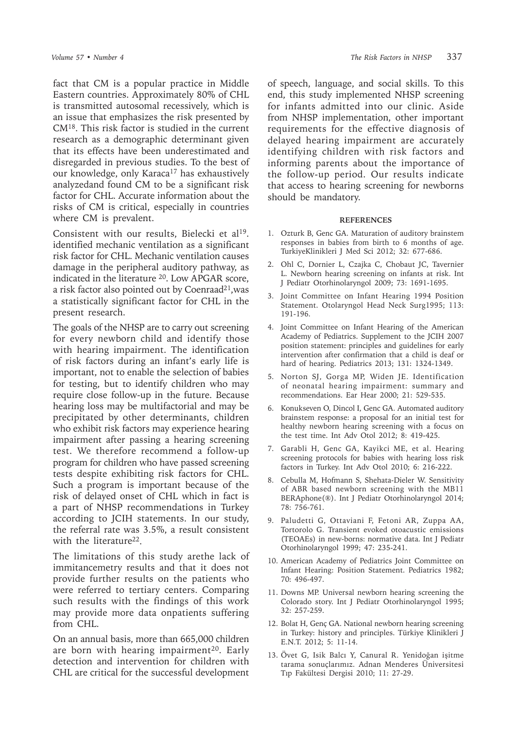fact that CM is a popular practice in Middle Eastern countries. Approximately 80% of CHL is transmitted autosomal recessively, which is an issue that emphasizes the risk presented by CM<sup>18</sup>. This risk factor is studied in the current research as a demographic determinant given that its effects have been underestimated and disregarded in previous studies. To the best of our knowledge, only Karaca<sup>17</sup> has exhaustively analyzedand found CM to be a significant risk factor for CHL. Accurate information about the risks of CM is critical, especially in countries where CM is prevalent.

Consistent with our results, Bielecki et al<sup>19</sup>. identified mechanic ventilation as a significant risk factor for CHL. Mechanic ventilation causes damage in the peripheral auditory pathway, as indicated in the literature 20. Low APGAR score, a risk factor also pointed out by Coenraad<sup>21</sup>, was a statistically significant factor for CHL in the present research.

The goals of the NHSP are to carry out screening for every newborn child and identify those with hearing impairment. The identification of risk factors during an infant's early life is important, not to enable the selection of babies for testing, but to identify children who may require close follow-up in the future. Because hearing loss may be multifactorial and may be precipitated by other determinants, children who exhibit risk factors may experience hearing impairment after passing a hearing screening test. We therefore recommend a follow-up program for children who have passed screening tests despite exhibiting risk factors for CHL. Such a program is important because of the risk of delayed onset of CHL which in fact is a part of NHSP recommendations in Turkey according to JCIH statements. In our study, the referral rate was 3.5%, a result consistent with the literature<sup>22</sup>.

The limitations of this study arethe lack of immitancemetry results and that it does not provide further results on the patients who were referred to tertiary centers. Comparing such results with the findings of this work may provide more data onpatients suffering from CHL.

On an annual basis, more than 665,000 children are born with hearing impairment<sup>20</sup>. Early detection and intervention for children with CHL are critical for the successful development

of speech, language, and social skills. To this end, this study implemented NHSP screening for infants admitted into our clinic. Aside from NHSP implementation, other important requirements for the effective diagnosis of delayed hearing impairment are accurately identifying children with risk factors and informing parents about the importance of the follow-up period. Our results indicate that access to hearing screening for newborns should be mandatory.

#### **REFERENCES**

- 1. Ozturk B, Genc GA. Maturation of auditory brainstem responses in babies from birth to 6 months of age. TurkiyeKlinikleri J Med Sci 2012; 32: 677-686.
- 2. Ohl C, Dornier L, Czajka C, Chobaut JC, Tavernier L. Newborn hearing screening on infants at risk. Int J Pediatr Otorhinolaryngol 2009; 73: 1691-1695.
- 3. Joint Committee on Infant Hearing 1994 Position Statement. Otolaryngol Head Neck Surg1995; 113: 191-196.
- 4. Joint Committee on Infant Hearing of the American Academy of Pediatrics. Supplement to the JCIH 2007 position statement: principles and guidelines for early intervention after confirmation that a child is deaf or hard of hearing. Pediatrics 2013; 131: 1324-1349.
- 5. Norton SJ, Gorga MP, Widen JE. Identification of neonatal hearing impairment: summary and recommendations. Ear Hear 2000; 21: 529-535.
- 6. Konukseven O, Dincol I, Genc GA. Automated auditory brainstem response: a proposal for an initial test for healthy newborn hearing screening with a focus on the test time. Int Adv Otol 2012; 8: 419-425.
- 7. Garabli H, Genc GA, Kayikci ME, et al. Hearing screening protocols for babies with hearing loss risk factors in Turkey. Int Adv Otol 2010; 6: 216-222.
- 8. Cebulla M, Hofmann S, Shehata-Dieler W. Sensitivity of ABR based newborn screening with the MB11 BERAphone(®). Int J Pediatr Otorhinolaryngol 2014; 78: 756-761.
- 9. Paludetti G, Ottaviani F, Fetoni AR, Zuppa AA, Tortorolo G. Transient evoked otoacustic emissions (TEOAEs) in new-borns: normative data. Int J Pediatr Otorhinolaryngol 1999; 47: 235-241.
- 10. American Academy of Pediatrics Joint Committee on Infant Hearing: Position Statement. Pediatrics 1982; 70: 496-497.
- 11. Downs MP. Universal newborn hearing screening the Colorado story. Int J Pediatr Otorhinolaryngol 1995; 32: 257-259.
- 12. Bolat H, Genç GA. National newborn hearing screening in Turkey: history and principles. Türkiye Klinikleri J E.N.T. 2012; 5: 11-14.
- 13. Övet G, Isik Balcı Y, Canural R. Yenidoğan işitme tarama sonuçlarımız. Adnan Menderes Üniversitesi Tıp Fakültesi Dergisi 2010; 11: 27-29.